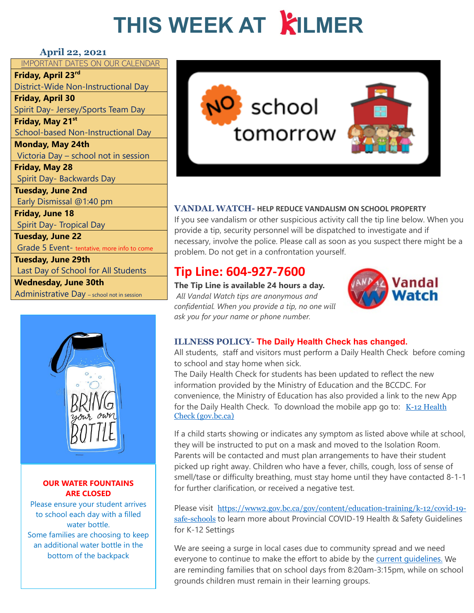## **THIS WEEK AT KILMER**

#### **April 22, 2021**

IMPORTANT DATES ON OUR CALENDAR **Friday, April 23rd** District-Wide Non-Instructional Day **Friday, April 30** Spirit Day- Jersey/Sports Team Day **Friday, May 21st** School-based Non-Instructional Day **Monday, May 24th** Victoria Day – school not in session **Friday, May 28** Spirit Day- Backwards Day **Tuesday, June 2nd** Early Dismissal @1:40 pm **Friday, June 18** Spirit Day- Tropical Day **Tuesday, June 22** Grade 5 Event- tentative, more info to come **Tuesday, June 29th** Last Day of School for All Students **Wednesday, June 30th** Administrative Day - school not in session



#### **OUR WATER FOUNTAINS ARE CLOSED**

Please ensure your student arrives [to school each day with a filled](https://www2.gov.bc.ca/gov/content/education-training/k-12/covid-19-safe-schools)  water bottle. [Some families are choosing to keep](https://www2.gov.bc.ca/assets/gov/education/administration/kindergarten-to-grade-12/safe-caring-orderly/k-12-covid-19-health-safety-guidlines.pdf)  an additional water bottle in the bottom of the backpack



### **VANDAL WATCH- HELP REDUCE VANDALISM ON SCHOOL PROPERTY**

If you see vandalism or other suspicious activity call the tip line below. When you provide a tip, security personnel will be dispatched to investigate and if necessary, involve the police. Please call as soon as you suspect there might be a problem. Do not get in a confrontation yourself.

## **Tip Line: 604-927-7600**

**The Tip Line is available 24 hours a day.** *All Vandal Watch tips are anonymous and confidential. When you provide a tip, no one will ask you for your name or phone number.*



## **ILLNESS POLICY- The Daily Health Check has changed.**

All students, staff and visitors must perform a [Daily Health Check](https://www.sd43.bc.ca/school/kilmer/Documents/2021-02-18Daily%20Health%20Check%20-%20Students.pdf) before coming to school and stay home when sick.

The Daily Health Check for students has been updated to reflect the new information provided by the Ministry of Education and the BCCDC. For convenience, the Ministry of Education has also provided a link to the new App for the Daily Health Check. To download the mobile app go to:  $K-12$  Health [Check \(gov.bc.ca\)](https://www.k12dailycheck.gov.bc.ca/mobile?lang=en)

If a child starts showing or indicates any symptom as listed above while at school, they will be instructed to put on a mask and moved to the Isolation Room. Parents will be contacted and must plan arrangements to have their student picked up right away. Children who have a fever, chills, cough, loss of sense of smell/tase or difficulty breathing, must stay home until they have contacted 8-1-1 for further clarification, or received a negative test.

Please visit [https://www2.gov.bc.ca/gov/content/education-training/k-12/covid-19](https://www2.gov.bc.ca/gov/content/education-training/k-12/covid-19-safe-schools) safe-schools to learn more about Provincial COVID-19 Health & Safety Guidelines for K-12 Settings

We are seeing a surge in local cases due to community spread and we need everyone to continue to make the effort to abide by the current quidelines. We are reminding families that on school days from 8:20am-3:15pm, while on school grounds children must remain in their learning groups.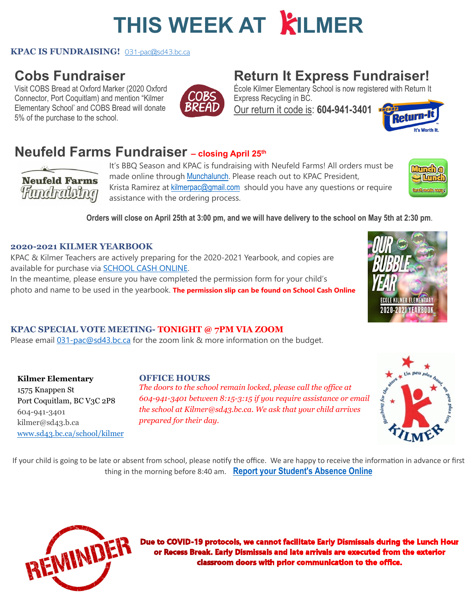## **THIS WEEK AT KILMER**

#### **KPAC IS FUNDRAISING!** [031-pac@sd43.bc.ca](mailto:031-pac@sd43.bc.ca)

## **Cobs Fundraiser**

Visit COBS Bread at Oxford Marker (2020 Oxford Connector, Port Coquitlam) and mention "Kilmer Elementary School' and COBS Bread will donate 5% of the purchase to the school.



## **Return It Express Fundraiser!**

École Kilmer Elementary School is now registered with Return It Express Recycling in BC.

Our return it code is: **604-941-3401** 



## **Neufeld Farms Fundraiser – closing April 25th**

**Neufeld Farms Hundralsing** 

It's BBQ Season and KPAC is fundraising with Neufeld Farms! All orders must be made online through [Munchalunch.](https://munchalunch.com/schools/kilmer/) Please reach out to KPAC President, Krista Ramirez at [kilmerpac@gmail.com](mailto:kilmerpac@gmail.com) should you have any questions or require assistance with the ordering process.



**Orders will close on April [25th at 3:00 pm,](x-apple-data-detectors://0/) and we will have delivery to the school [on May 5th at 2:30 pm](x-apple-data-detectors://1/)**.

#### **2020-2021 KILMER YEARBOOK**

KPAC & Kilmer Teachers are actively preparing for the 2020-2021 Yearbook, and copies are available for purchase via **SCHOOL CASH ONLINE.** 

In the meantime, please ensure you have completed the permission form for your child's photo and name to be used in the yearbook. **The permission slip can be found on School Cash Online**



### **KPAC SPECIAL VOTE MEETING- TONIGHT @ 7PM VIA ZOOM**

Please email [031-pac@sd43.bc.ca](mailto:031-pac@sd43.bc.ca) for the zoom link & more information on the budget.

**Kilmer Elementary** 1575 Knappen St Port Coquitlam, BC V3C 2P8 604-941-3401 kilmer@sd43.b.ca [www.sd43.bc.ca/school/kilmer](http://www.sd43.bc.ca/school/kilmer)

### **OFFICE HOURS**

*The doors to the school remain locked, please call the office at 604-941-3401 between 8:15-3:15 if you require assistance or email the school at Kilmer@sd43.bc.ca. We ask that your child arrives prepared for their day.*



If your child is going to be late or absent from school, please notify the office. We are happy to receive the information in advance or first thing in the morning before 8:40 am. **[Report your Student's Absence Online](https://www2016.sd43.bc.ca/eforms/_layouts/15/FormServer.aspx?XsnLocation=http://www2016.sd43.bc.ca/eforms/AbsenceReportForm/Forms/template.xsn&OpenIn=browser&SaveLocation=http://www2016.sd43.bc.ca/eforms/AbsenceReportForm&Source=http://www2016.sd43.bc.ca/eforms/AbsenceReportForm)**



Due to COVID-19 protocols, we cannot facilitate Early Dismissals during the Lunch Hour or Recess Break. Early Dismissals and late arrivals are executed from the exterior classroom doors with prior communication to the office.